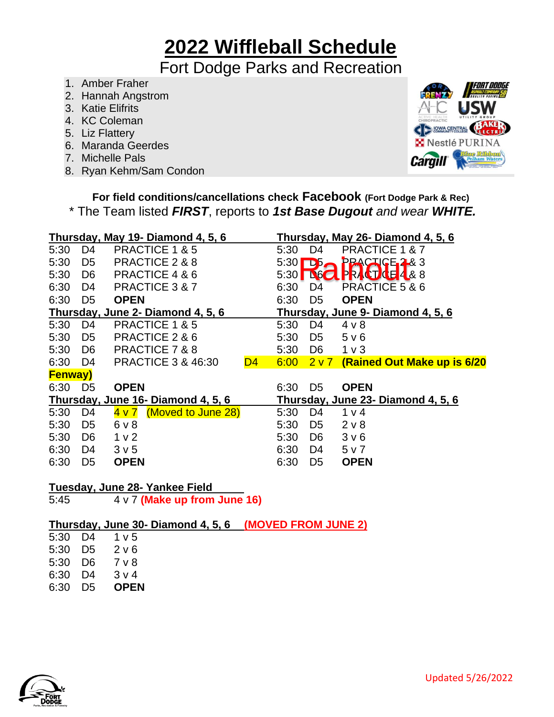## **2022 Wiffleball Schedule**

#### Fort Dodge Parks and Recreation

- 1. Amber Fraher
- 2. Hannah Angstrom
- 3. Katie Elifrits
- 4. KC Coleman
- 5. Liz Flattery
- 6. Maranda Geerdes
- 7. Michelle Pals
- 8. Ryan Kehm/Sam Condon



**For field conditions/cancellations check Facebook (Fort Dodge Park & Rec)** \* The Team listed *FIRST*, reports to *1st Base Dugout and wear WHITE.*

|                |                | Thursday, May 19- Diamond 4, 5, 6   |      |                | Thursday, May 26- Diamond 4, 5, 6  |
|----------------|----------------|-------------------------------------|------|----------------|------------------------------------|
| 5:30           | D4             | <b>PRACTICE 1 &amp; 5</b>           | 5:30 | D4             | PRACTICE 1 & 7                     |
| 5:30           | D <sub>5</sub> | PRACTICE 2 & 8                      | 5:30 | $\mathbf{D5}$  | PRACTICE <sub>2</sub> & 3          |
| 5:30           | D <sub>6</sub> | PRACTICE 4 & 6                      | 5:30 | <b>160</b>     | PRACT CE4&8                        |
| 6:30           | D4             | <b>PRACTICE 3 &amp; 7</b>           | 6:30 | D4             | PRACTICE 5 & 6                     |
| 6:30           | D <sub>5</sub> | <b>OPEN</b>                         | 6:30 | D <sub>5</sub> | <b>OPEN</b>                        |
|                |                | Thursday, June 2- Diamond 4, 5, 6   |      |                | Thursday, June 9- Diamond 4, 5, 6  |
| 5:30           | D <sub>4</sub> | <b>PRACTICE 1 &amp; 5</b>           | 5:30 | D <sub>4</sub> | $4 \vee 8$                         |
| 5:30           | D <sub>5</sub> | PRACTICE 2 & 6                      | 5:30 | D <sub>5</sub> | 5 v 6                              |
| 5:30           | D6             | PRACTICE 7 & 8                      | 5:30 | D <sub>6</sub> | 1 <sub>v</sub>                     |
| 6:30           | D4             | <b>PRACTICE 3 &amp; 46:30</b><br>D4 | 6:00 | 2v7            | (Rained Out Make up is 6/20        |
| <b>Fenway)</b> |                |                                     |      |                |                                    |
| 6:30           | D <sub>5</sub> | <b>OPEN</b>                         | 6:30 | D <sub>5</sub> | <b>OPEN</b>                        |
|                |                | Thursday, June 16- Diamond 4, 5, 6  |      |                | Thursday, June 23- Diamond 4, 5, 6 |
| 5:30           | D <sub>4</sub> | (Moved to June 28)<br><u>4 v 7</u>  | 5:30 | D <sub>4</sub> | 1 <sub>v</sub>                     |
| 5:30           | D <sub>5</sub> | $6v$ 8                              | 5:30 | D <sub>5</sub> | $2 \vee 8$                         |
| 5:30           | D <sub>6</sub> | 1 <sub>v</sub>                      | 5:30 | D <sub>6</sub> | 3 <sub>v</sub> 6                   |
| 6:30           | D4             | 3 <sub>v</sub> 5                    | 6:30 | D4             | 5 v 7                              |
| 6:30           | D <sub>5</sub> | <b>OPEN</b>                         | 6:30 | D <sub>5</sub> | <b>OPEN</b>                        |
|                |                |                                     |      |                |                                    |

#### **Tuesday, June 28- Yankee Field**

5:45 4 v 7 **(Make up from June 16)**

#### **Thursday, June 30- Diamond 4, 5, 6 (MOVED FROM JUNE 2)**

| 5:30 | D4 | 1 v 5          |
|------|----|----------------|
| 5:30 | D5 | 2 v 6          |
| 5:30 | D6 | 7 v 8          |
| 6:30 | D4 | 3 <sub>v</sub> |
| 6:30 | D5 | OPEN           |

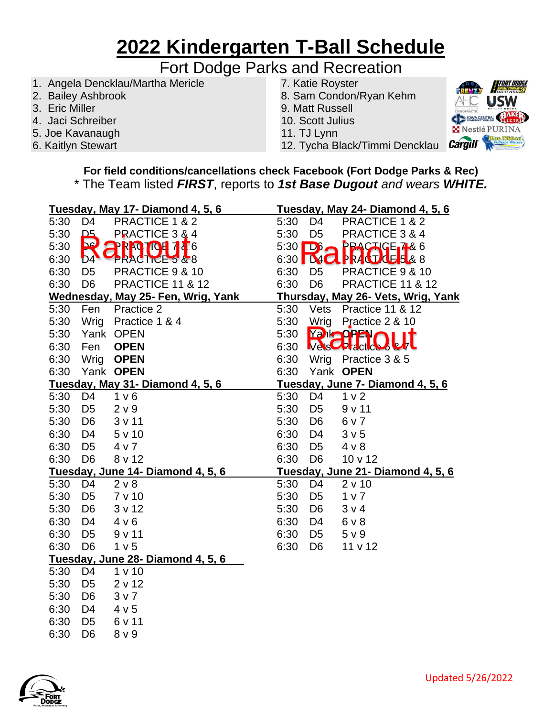## **2022 Kindergarten T-Ball Schedule**

### Fort Dodge Parks and Recreation

- 1. Angela Dencklau/Martha Mericle
- 2. Bailey Ashbrook
- 3. Eric Miller
- 4. Jaci Schreiber
- 5. Joe Kavanaugh
- 6. Kaitlyn Stewart
- 7. Katie Royster
- 8. Sam Condon/Ryan Kehm
- 9. Matt Russell
- 10. Scott Julius
- 11. TJ Lynn
- 12. Tycha Black/Timmi Dencklau

**For field conditions/cancellations check Facebook (Fort Dodge Parks & Rec)** \* The Team listed *FIRST*, reports to *1st Base Dugout and wears WHITE.*

|      |                | Tuesday, May 17- Diamond 4, 5, 6   |      |                       | Tuesday, May 24- Diamond 4, 5, 6   |
|------|----------------|------------------------------------|------|-----------------------|------------------------------------|
| 5:30 | D <sub>4</sub> | PRACTICE 1 & 2                     | 5:30 | D <sub>4</sub>        | PRACTICE 1 & 2                     |
| 5:30 | ᅀ              | PRACTICE 3 & 4                     | 5:30 | D <sub>5</sub>        | PRACTICE 3 & 4                     |
| 5:30 | $\blacksquare$ | <b>RACTOH 786</b><br>וך            |      | $5:30$ $D6$ $\bigcap$ | <b>PRACTIGE<sub>1</sub>486</b>     |
| 6:30 | $b_4$          | <b>PRACTICES &amp; 8</b>           |      |                       | 6:30 MC PRACTUES & 8               |
| 6:30 | D <sub>5</sub> | PRACTICE 9 & 10                    | 6:30 | D <sub>5</sub>        | PRACTICE 9 & 10                    |
| 6:30 | D <sub>6</sub> | <b>PRACTICE 11 &amp; 12</b>        | 6:30 | D <sub>6</sub>        | <b>PRACTICE 11 &amp; 12</b>        |
|      |                | Wednesday, May 25- Fen, Wrig, Yank |      |                       | Thursday, May 26- Vets, Wrig, Yank |
| 5:30 | Fen            | Practice 2                         | 5:30 | Vets                  | <b>Practice 11 &amp; 12</b>        |
| 5:30 | Wrig           | Practice 1 & 4                     | 5:30 | Wrig                  | Practice 2 & 10                    |
| 5:30 |                | Yank OPEN                          | 5:30 |                       | <b>Yahoppar</b>                    |
| 6:30 | Fen            | <b>OPEN</b>                        | 6:30 |                       | <b>VesCPIdctices &amp;</b>         |
| 6:30 |                | Wrig <b>OPEN</b>                   | 6:30 |                       | Wrig Practice 3 & 5                |
| 6:30 |                | Yank OPEN                          | 6:30 |                       | Yank OPEN                          |
|      |                | Tuesday, May 31- Diamond 4, 5, 6   |      |                       | Tuesday, June 7- Diamond 4, 5, 6   |
| 5:30 | D <sub>4</sub> | 1 <sub>v</sub> 6                   | 5:30 | D <sub>4</sub>        | 1 <sub>v</sub> 2                   |
| 5:30 | D <sub>5</sub> | 2 v 9                              | 5:30 | D <sub>5</sub>        | 9 v 11                             |
| 5:30 | D <sub>6</sub> | 3v11                               | 5:30 | D <sub>6</sub>        | 6 v 7                              |
| 6:30 | D <sub>4</sub> | 5 v 10                             | 6:30 | D4                    | 3 <sub>v</sub> 5                   |
| 6:30 | D <sub>5</sub> | 4 v 7                              | 6:30 | D <sub>5</sub>        | 4 v 8                              |
| 6:30 | D <sub>6</sub> | 8 v 12                             | 6:30 | D <sub>6</sub>        | 10 v 12                            |
|      |                | Tuesday, June 14- Diamond 4, 5, 6  |      |                       | Tuesday, June 21- Diamond 4, 5, 6  |
| 5:30 | D <sub>4</sub> | 2 v 8                              | 5:30 | D <sub>4</sub>        | 2 v 10                             |
| 5:30 | D <sub>5</sub> | 7 v 10                             | 5:30 | D <sub>5</sub>        | 1 v 7                              |
| 5:30 | D <sub>6</sub> | 3 v 12                             | 5:30 | D <sub>6</sub>        | 3 v 4                              |
| 6:30 | D <sub>4</sub> | 4 v 6                              | 6:30 | D4                    | $6v$ 8                             |
| 6:30 | D <sub>5</sub> | 9v11                               | 6:30 | D <sub>5</sub>        | 5 <sub>v</sub> 9                   |
| 6:30 | D <sub>6</sub> | 1 <sub>v</sub> 5                   | 6:30 | D <sub>6</sub>        | 11 v 12                            |
|      |                | Tuesday, June 28- Diamond 4, 5, 6  |      |                       |                                    |
| 5:30 | D <sub>4</sub> | 1 v 10                             |      |                       |                                    |
| 5:30 | D <sub>5</sub> | 2 v 12                             |      |                       |                                    |
| 5:30 | D <sub>6</sub> | 3 <sub>v</sub>                     |      |                       |                                    |
| 6:30 | D <sub>4</sub> | 4 v 5                              |      |                       |                                    |
| 6:30 | D <sub>5</sub> | 6 v 11                             |      |                       |                                    |
| 6:30 | D <sub>6</sub> | 8 <sub>v</sub>                     |      |                       |                                    |



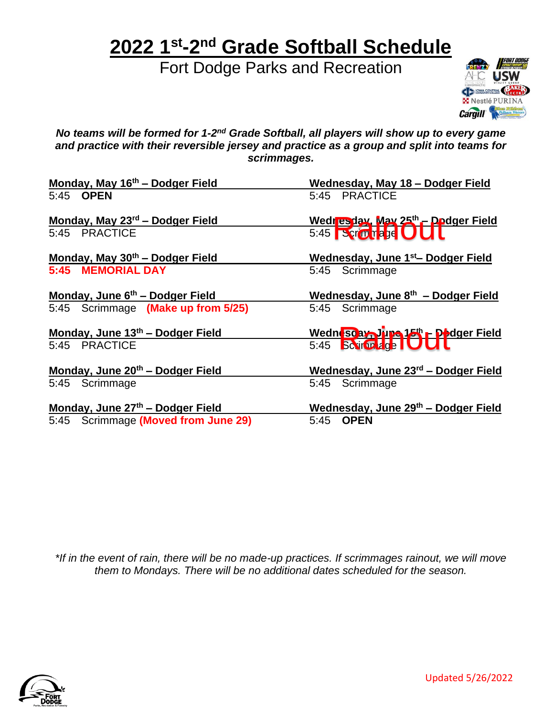## **2022 1 st-2 nd Grade Softball Schedule**

Fort Dodge Parks and Recreation



No teams will be formed for 1-2<sup>nd</sup> Grade Softball, all players will show up to every game *and practice with their reversible jersey and practice as a group and split into teams for scrimmages.*

| Monday, May 16 <sup>th</sup> - Dodger Field | Wednesday, May 18 - Dodger Field                        |
|---------------------------------------------|---------------------------------------------------------|
| 5:45 OPEN                                   | 5:45 PRACTICE                                           |
| Monday, May 23 <sup>rd</sup> – Dodger Field |                                                         |
| 5:45 PRACTICE                               | Wedresday, May 25th - Dodger Field<br>5:45 Serminage OU |
| Monday, May 30th - Dodger Field             | Wednesday, June 1 <sup>st</sup> - Dodger Field          |
| 5:45 MEMORIAL DAY                           | 5:45 Scrimmage                                          |
| Monday, June 6 <sup>th</sup> – Dodger Field | Wednesday, June 8th - Dodger Field                      |
| 5:45 Scrimmage (Make up from 5/25)          | 5:45 Scrimmage                                          |
| Monday, June $13th$ – Dodger Field          |                                                         |
| 5:45 PRACTICE                               | Wednesday Jupe 15th Podger Field<br>5:45 Script dge DUU |
| Monday, June 20th - Dodger Field            | Wednesday, June 23rd - Dodger Field                     |
| 5:45 Scrimmage                              | 5:45 Scrimmage                                          |
| Monday, June 27th - Dodger Field            | Wednesday, June 29th - Dodger Field                     |
| 5:45 Scrimmage (Moved from June 29)         | <b>OPEN</b><br>5:45                                     |

*\*If in the event of rain, there will be no made-up practices. If scrimmages rainout, we will move them to Mondays. There will be no additional dates scheduled for the season.*

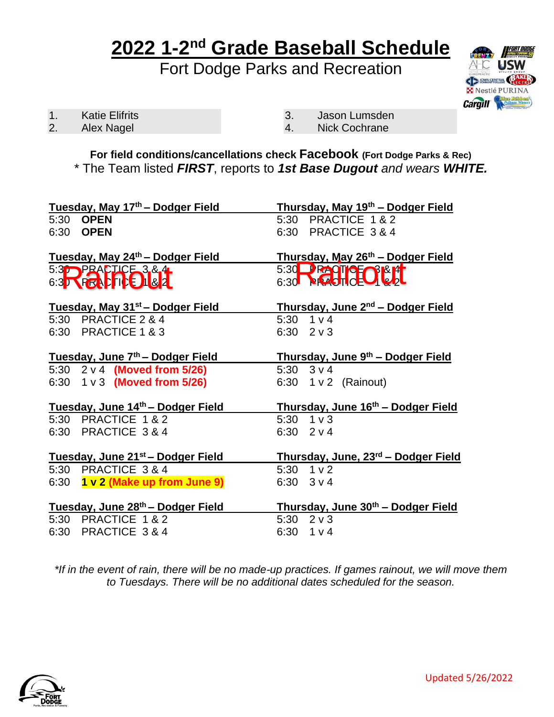## **2022 1-2 nd Grade Baseball Schedule**

Fort Dodge Parks and Recreation



1. Katie Elifrits

2. Alex Nagel

- 3. Jason Lumsden
- 4. Nick Cochrane

**For field conditions/cancellations check Facebook (Fort Dodge Parks & Rec)** \* The Team listed *FIRST*, reports to *1st Base Dugout and wears WHITE.*

|           | Tuesday, May 17th - Dodger Field              | Thursday, May 19th - Dodger Field             |
|-----------|-----------------------------------------------|-----------------------------------------------|
| 5:30 OPEN |                                               | PRACTICE 1 & 2<br>5:30                        |
| 6:30 OPEN |                                               | 6:30 PRACTICE 3 & 4                           |
|           |                                               |                                               |
|           | Tuesday, May 24th - Dodger Field              | Thursday, May 26th - Dodger Field             |
|           | 5:3 PRACTICE 3.8.4                            | 5:30 <b>PROTOFOR PT</b>                       |
|           | 6:3 YEALTO & 1                                | 6:30 <b>REACH CELL &amp; REL</b>              |
|           |                                               |                                               |
|           | Tuesday, May 31 <sup>st</sup> – Dodger Field  | Thursday, June 2 <sup>nd</sup> – Dodger Field |
|           | 5:30 PRACTICE 2 & 4                           | $5:30$ 1 v 4                                  |
|           | 6:30 PRACTICE 1 & 3                           | $6:30$ $2 \vee 3$                             |
|           |                                               |                                               |
|           | Tuesday, June 7 <sup>th</sup> – Dodger Field  | <u>Thursday, June 9th – Dodger Field</u>      |
|           | 5:30 2 v 4 (Moved from 5/26)                  | 5:30 $3 \vee 4$                               |
|           |                                               |                                               |
|           | 6:30 1 v 3 (Moved from 5/26)                  | 6:30 1 v 2 (Rainout)                          |
|           |                                               |                                               |
|           | Tuesday, June 14th - Dodger Field             | Thursday, June 16th - Dodger Field            |
|           | 5:30 PRACTICE 1 & 2                           | $5:30 \quad 1 \vee 3$                         |
|           | 6:30 PRACTICE 3 & 4                           | 6:30 $2 \vee 4$                               |
|           |                                               |                                               |
|           | Tuesday, June 21 <sup>st</sup> – Dodger Field | Thursday, June, 23rd - Dodger Field           |
|           | 5:30 PRACTICE 3 & 4                           | $5:30$ 1 v 2                                  |
|           | 6:30 $1 \vee 2$ (Make up from June 9)         | $6:30 \quad 3 \vee 4$                         |
|           |                                               |                                               |
|           | Tuesday, June 28th - Dodger Field             | Thursday, June 30th - Dodger Field            |
|           | 5:30 PRACTICE 1 & 2<br>6:30 PRACTICE 3 & 4    | 5:30 $2 \vee 3$<br>6:30 $1 \vee 4$            |

*\*If in the event of rain, there will be no made-up practices. If games rainout, we will move them to Tuesdays. There will be no additional dates scheduled for the season.*

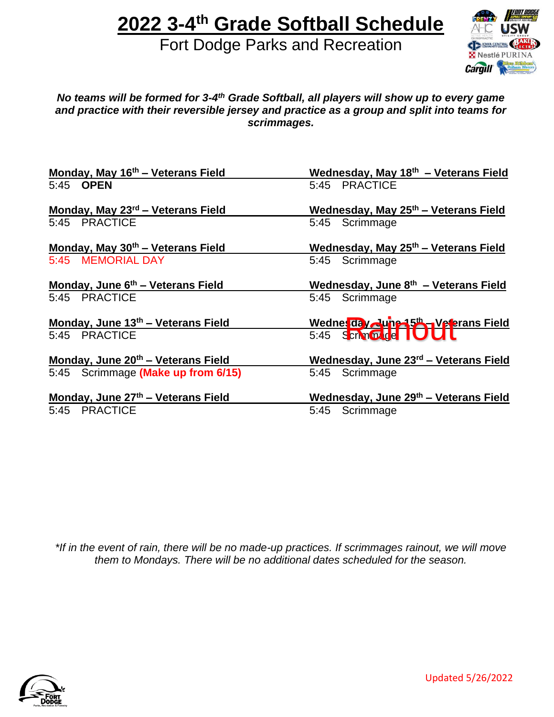# **2022 3-4 th Grade Softball Schedule**

Fort Dodge Parks and Recreation



#### No teams will be formed for 3-4<sup>th</sup> Grade Softball, all players will show up to every game *and practice with their reversible jersey and practice as a group and split into teams for scrimmages.*

| Monday, May 16th - Veterans Field             | Wednesday, May 18th - Veterans Field             |
|-----------------------------------------------|--------------------------------------------------|
| 5:45 OPEN                                     | 5:45 PRACTICE                                    |
| Monday, May 23 <sup>rd</sup> – Veterans Field | Wednesday, May 25 <sup>th</sup> - Veterans Field |
| 5:45 PRACTICE                                 | 5:45 Scrimmage                                   |
| Monday, May 30th - Veterans Field             | Wednesday, May 25 <sup>th</sup> – Veterans Field |
| 5:45 MEMORIAL DAY                             | 5:45 Scrimmage                                   |
| Monday, June 6 <sup>th</sup> – Veterans Field | Wednesday, June $8th$ – Veterans Field           |
| 5:45 PRACTICE                                 | 5:45 Scrimmage                                   |
| Monday, June $13th$ – Veterans Field          | Wednesday June 15th - Veterans Field             |
| 5:45 PRACTICE                                 | 5:45 Schnozde IU                                 |
| Monday, June 20th - Veterans Field            | Wednesday, June 23rd - Veterans Field            |
| 5:45 Scrimmage (Make up from 6/15)            | 5:45 Scrimmage                                   |
| Monday, June 27th - Veterans Field            | Wednesday, June 29th - Veterans Field            |
| 5:45 PRACTICE                                 | 5:45 Scrimmage                                   |

*\*If in the event of rain, there will be no made-up practices. If scrimmages rainout, we will move them to Mondays. There will be no additional dates scheduled for the season.*